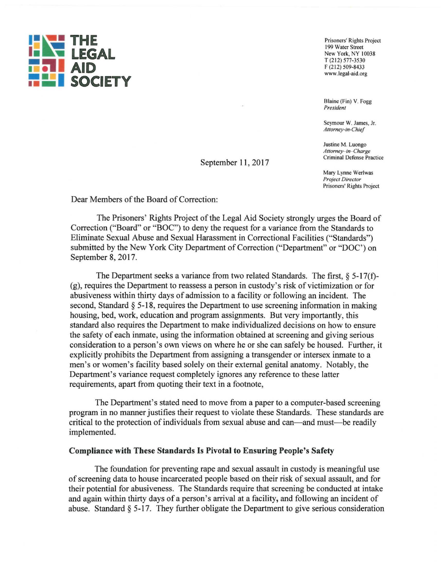

Prisoners' Rights Project 199 Water Street New York, NY 10038 T (212) 577-3530 F (212) 509-8433 www.legal-aid.org

Blaine (Fin) Y. Fogg *President* 

Seymour W. James, Jr. *Attorney-in-Chief* 

Justine M. Luongo *Attorney-in-Charge*  Criminal Defense Practice

Mary Lynne Werlwas *Project Director*  Prisoners' Rights Project

Dear Members of the Board of Correction:

The Prisoners' Rights Project of the Legal Aid Society strongly urges the Board of Correction ("Board" or "BOC") to deny the request for a variance from the Standards to Eliminate Sexual Abuse and Sexual Harassment in Correctional Facilities ("Standards") submitted by the New York City Department of Correction ("Department" or "DOC') on September 8, 2017.

September 11, 2017

The Department seeks a variance from two related Standards. The first,  $\S$  5-17(f)-(g), requires the Department to reassess a person in custody's risk of victimization or for abusiveness within thirty days of admission to a facility or following an incident. The second, Standard § 5-18, requires the Department to use screening information in making housing, bed, work, education and program assignments. But very importantly, this standard also requires the Department to make individualized decisions on how to ensure the safety of each inmate, using the information obtained at screening and giving serious consideration to a person's own views on where he or she can safely be housed. Further, it explicitly prohibits the Department from assigning a transgender or intersex inmate to a men's or women's facility based solely on their external genital anatomy. Notably, the Department's variance request completely ignores any reference to these latter requirements, apart from quoting their text in a footnote,

The Department's stated need to move from a paper to a computer-based screening program in no manner justifies their request to violate these Standards. These standards are critical to the protection of individuals from sexual abuse and can-and must- be readily implemented.

## **Compliance with These Standards Is Pivotal to Ensuring People's Safety**

The foundation for preventing rape and sexual assault in custody is meaningful use of screening data to house incarcerated people based on their risk of sexual assault, and for their potential for abusiveness. The Standards require that screening be conducted at intake and again within thirty days of a person's arrival at a facility, and following an incident of abuse. Standard § 5-17. They further obligate the Department to give serious consideration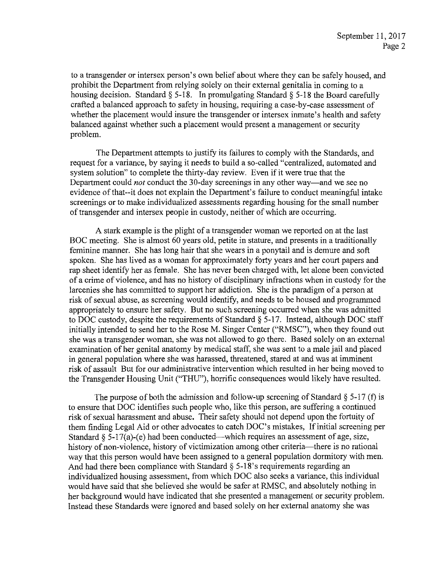to a transgender or intersex person's own belief about where they can be safely housed, and prohibit the Department from relying solely on their external genitalia in coming to a housing decision. Standard  $\S$  5-18. In promulgating Standard  $\S$  5-18 the Board carefully crafted a balanced approach to safety in housing, requiring a case-by-case assessment of whether the placement would insure the transgender or intersex inmate's health and safety balanced against whether such a placement would present a management or security problem.

The Department attempts to justify its failures to comply with the Standards, and request for a variance, by saying it needs to build a so-called "centralized, automated and system solution" to complete the thirty-day review. Even if it were true that the Department could *not* conduct the 30-day screenings in any other way—and we see no evidence of that--it does not explain the Department's failure to conduct meaningful intake screenings or to make individualized assessments regarding housing for the small number of trans gender and intersex people in custody, neither of which are occurring.

A stark example is the plight of a trans gender woman we reported on at the last BOC meeting. She is almost 60 years old, petite in stature, and presents in a traditionally feminine marmer. She has long hair that she wears in a ponytail and is demure and soft spoken. She has lived as a woman for approximately forty years and her court papers and rap sheet identify her as female. She has never been charged with, let alone been convicted of a crime of violence, and has no history of disciplinary infractions when in custody for the larcenies she has committed to support her addiction. She is the paradigm of a person at risk of sexual abuse, as screening would identify, and needs to be housed and programmed appropriately to ensure her safety. But no such screening occurred when she was admitted to DOC custody, despite the requirements of Standard  $\S$  5-17. Instead, although DOC staff initially intended to send her to the Rose M. Singer Center ("RMSC"), when they found out she was a transgender woman, she was not allowed to go there. Based solely on an external examination of her genital anatomy by medical staff, she was sent to a male jail and placed in general population where she was harassed, threatened, stared at and was at imminent risk of assault But for our administrative intervention which resulted in her being moved to the Transgender Housing Unit ("THU"), horrific consequences would likely have resulted.

The purpose of both the admission and follow-up screening of Standard  $\S$  5-17 (f) is to ensure that DOC identifies such people who, like this person, are suffering a continued risk of sexual harassment and abuse. Their safety should not depend upon the fortuity of them finding Legal Aid or other advocates to catch DOC's mistakes, If initial screening per Standard  $\S$  5-17(a)-(e) had been conducted—which requires an assessment of age, size, history of non-violence, history of victimization among other criteria—there is no rational way that this person would have been assigned to a general population dormitory with men. And had there been compliance with Standard  $\S$  5-18's requirements regarding an individualized housing assessment, from which DOC also seeks a variance, this individual would have said that she believed she would be safer at RMSC, and absolutely nothing in her background would have indicated that she presented a management or security problem. Instead these Standards were ignored and based solely on her external anatomy she was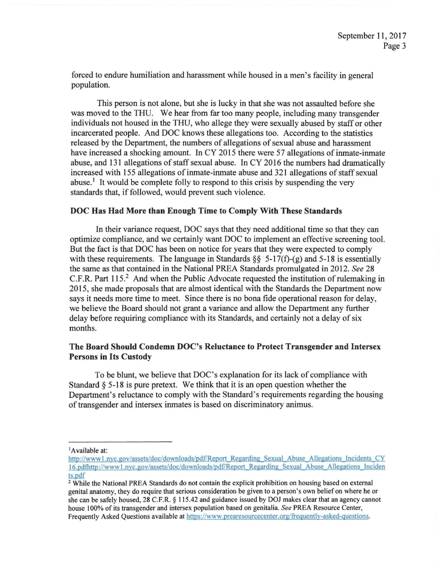forced to endure humiliation and harassment while housed in a men's facility in general population.

This person is not alone, but she is lucky in that she was not assaulted before she was moved to the THU. We hear from far too many people, including many transgender individuals not housed in the THU, who allege they were sexually abused by staff or other incarcerated people. And DOC knows these allegations too. According to the statistics released by the Department, the numbers of allegations of sexual abuse and harassment have increased a shocking amount. In CY 2015 there were 57 allegations of inmate-inmate abuse, and 131 allegations of staff sexual abuse. In CY 2016 the numbers had dramatically increased with 155 allegations of inmate-inmate abuse and 321 allegations of staff sexual abuse.<sup>1</sup> It would be complete folly to respond to this crisis by suspending the very standards that, if followed, would prevent such violence.

#### **DOC Has Had More than Enough Time to Comply With These Standards**

In their variance request, DOC says that they need additional time so that they can optimize compliance, and we certainly want DOC to implement an effective screening tool. But the fact is that DOC has been on notice for years that they were expected to comply with these requirements. The language in Standards  $\S$ § 5-17(f)-(g) and 5-18 is essentially the same as that contained in the National PREA Standards promulgated in 2012. *See* 28 C.F.R. Part 115.<sup>2</sup> And when the Public Advocate requested the institution of rulemaking in 2015, she made proposals that are almost identical with the Standards the Department now says it needs more time to meet. Since there is no bona fide operational reason for delay, we believe the Board should not grant a variance and allow the Department any further delay before requiring compliance with its Standards, and certainly not a delay of six months.

# **The Board Should Condemn DOC's Reluctance to Protect Transgender and Intersex Persons in Its Custody**

To be blunt, we believe that DOC's explanation for its lack of compliance with Standard  $\S$  5-18 is pure pretext. We think that it is an open question whether the Department's reluctance to comply with the Standard's requirements regarding the housing of transgender and intersex inmates is based on discriminatory animus.

<sup>&</sup>lt;sup>1</sup>Available at:

http://www1.nyc.gov/assets/doc/downloads/pdf/Report Regarding Sexual Abuse Allegations Incidents CY 16.pdfhttp://www1.nyc.gov/assets/doc/downloads/pdf/Report Regarding Sexual Abuse Allegations Inciden  $\frac{\text{ts.pdf}}{2}$  While the National PREA Standards do not contain the explicit prohibition on housing based on external

genital anatomy, they do require that serious consideration be given to a person's own belief on where he or she can be safely housed, 28 C.F.R. § 115.42 and guidance issued by DOJ makes clear that an agency cannot house I 00% of its trans gender and intersex population based on genitalia. *See* PREA Resource Center, Frequently Asked Questions available at https://www.prearesourcecenter.org/freguently-asked-guestions.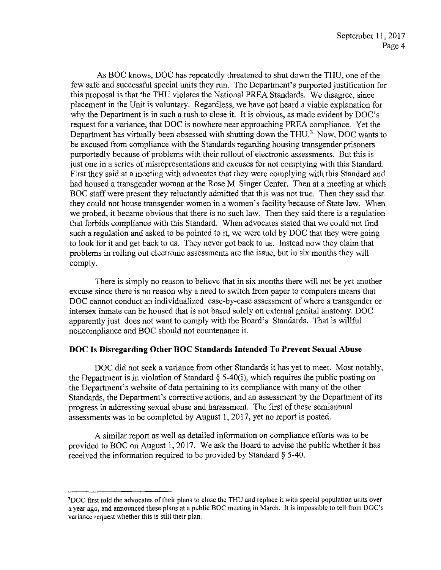As BOC knows, DOC has repeatedly threatened to shut down the THU, one of the few safe and successful special units they run. The Department's purported justification for this proposal is that the THU violates the National PREA Standards. We disagree, since placement in the Unit is voluntary. Regardless, we have not heard a viable explanation for why the Department is in such a rush to close it. It is obvious, as made evident by DOC's request for a variance, that DOC is nowhere near approaching PREA compliance. Yet the Department has virtually been obsessed with shutting down the THU.<sup>3</sup> Now, DOC wants to be excused from compliance with the Standards regarding housing transgender prisoners purportedly because of problems with their rollout of electronic assessments. But this is just one in a series of misrepresentations and excuses for not complying with this Standard. First they said at a meeting with advocates that they were complying with this Standard and had housed a transgender woman at the Rose M. Singer Center. Then at a meeting at which BOC staff were present they reluctantly admitted that this was not true. Then they said that they could not house transgender women in a women's facility because of State law. When we probed, it became obvious that there is no such law. Then they said there is a regulation that forbids compliance with this Standard. When advocates stated that we could not find such a regulation and asked to be pointed to it, we were told by DOC that they were going to look for it and get back to us. They never got back to us. Instead now they claim that problems in rolling out electronic assessments are the issue, but in six months they will comply.

There is simply no reason to believe that in six months there will not be yet another excuse since there is no reason why a need to switch from paper to computers means that DOC cannot conduct an individualized case-by-case assessment of where a transgender or intersex inmate can be housed that is not based solely on external genital anatomy. DOC apparently just does not want to comply with the Board's Standards. That is willful noncompliance and BOC should not countenance it.

## **DOC Is Disregarding Other BOC Standards Intended To Prevent Sexual Abuse**

DOC did not seek a variance from other Standards it has yet to meet. Most notably, the Department is in violation of Standard  $\S$  5-40(i), which requires the public posting on the Department's website of data pertaining to its compliance with many of the other Standards, the Department's corrective actions, and an assessment by the Department of its progress in addressing sexual abuse and harassment. The first of these semiannual assessments was to be completed by August I, 2017, yet no report is posted.

A similar report as well as detailed information on compliance efforts was to be provided to BOC on August I, 2017. We ask the Board to advise the public whether it has received the information required to be provided by Standard § 5-40.

<sup>&#</sup>x27;DOC first told the advocates of their plans to close the THU and replace it with special population units over a year ago, and announced these plans at a public BOC meeting in March. It is impossible to tell from DOC's variance request whether this is still their plan.